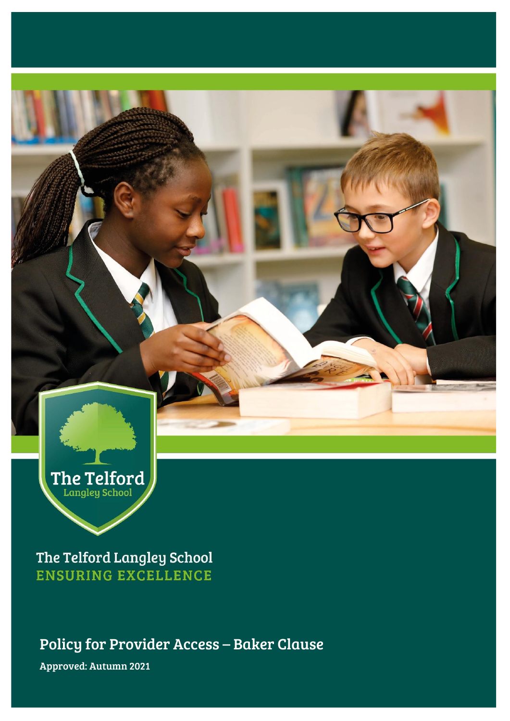

The Telford Langley School **ENSURING EXCELLENCE** 

Policy for Provider Access – Baker Clause Approved: Autumn 2021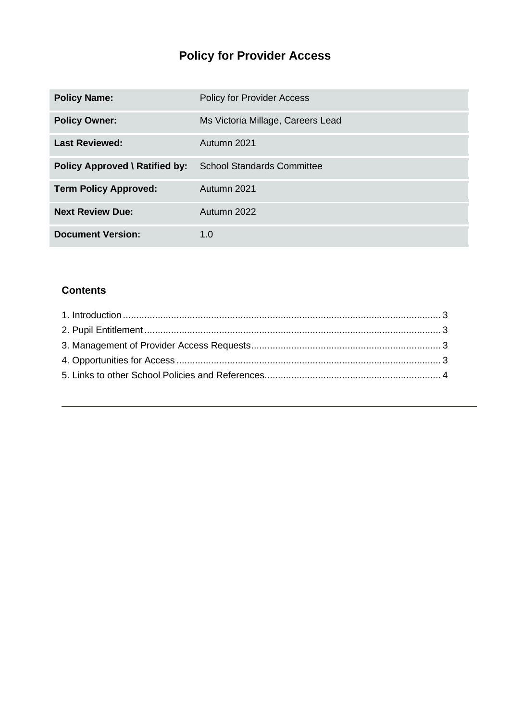# **Policy for Provider Access**

| <b>Policy Name:</b>                   | <b>Policy for Provider Access</b> |
|---------------------------------------|-----------------------------------|
| <b>Policy Owner:</b>                  | Ms Victoria Millage, Careers Lead |
| <b>Last Reviewed:</b>                 | Autumn 2021                       |
| <b>Policy Approved \ Ratified by:</b> | <b>School Standards Committee</b> |
| <b>Term Policy Approved:</b>          | Autumn 2021                       |
| <b>Next Review Due:</b>               | Autumn 2022                       |
| <b>Document Version:</b>              | 1.0                               |

### **Contents**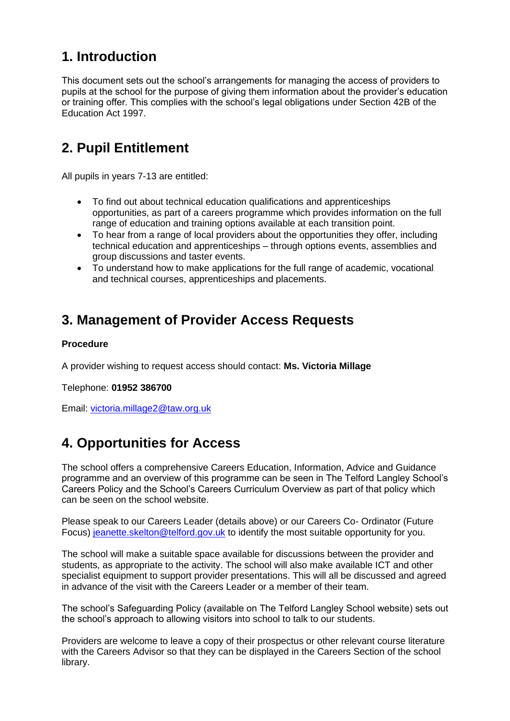## <span id="page-2-0"></span>**1. Introduction**

This document sets out the school's arrangements for managing the access of providers to pupils at the school for the purpose of giving them information about the provider's education or training offer. This complies with the school's legal obligations under Section 42B of the Education Act 1997.

## <span id="page-2-1"></span>**2. Pupil Entitlement**

All pupils in years 7-13 are entitled:

- To find out about technical education qualifications and apprenticeships opportunities, as part of a careers programme which provides information on the full range of education and training options available at each transition point.
- To hear from a range of local providers about the opportunities they offer, including technical education and apprenticeships – through options events, assemblies and group discussions and taster events.
- To understand how to make applications for the full range of academic, vocational and technical courses, apprenticeships and placements.

## <span id="page-2-2"></span>**3. Management of Provider Access Requests**

#### **Procedure**

A provider wishing to request access should contact: **Ms. Victoria Millage**

Telephone: **01952 386700**

Email: [victoria.millage2@taw.org.uk](mailto:victoria.millage2@taw.org.uk)

## <span id="page-2-3"></span>**4. Opportunities for Access**

The school offers a comprehensive Careers Education, Information, Advice and Guidance programme and an overview of this programme can be seen in The Telford Langley School's Careers Policy and the School's Careers Curriculum Overview as part of that policy which can be seen on the school website.

Please speak to our Careers Leader (details above) or our Careers Co- Ordinator (Future Focus) [jeanette.skelton@telford.gov.uk](mailto:jeanette.skelton@telford.gov.uk) to identify the most suitable opportunity for you.

The school will make a suitable space available for discussions between the provider and students, as appropriate to the activity. The school will also make available ICT and other specialist equipment to support provider presentations. This will all be discussed and agreed in advance of the visit with the Careers Leader or a member of their team.

The school's Safeguarding Policy (available on The Telford Langley School website) sets out the school's approach to allowing visitors into school to talk to our students.

Providers are welcome to leave a copy of their prospectus or other relevant course literature with the Careers Advisor so that they can be displayed in the Careers Section of the school library.